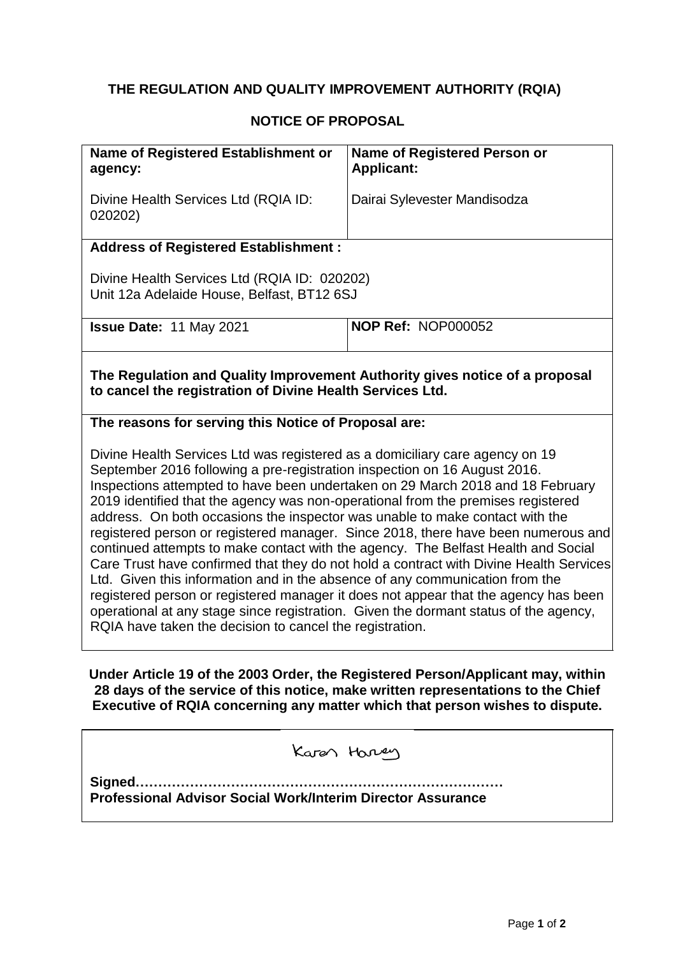## **THE REGULATION AND QUALITY IMPROVEMENT AUTHORITY (RQIA)**

## **NOTICE OF PROPOSAL**

| Name of Registered Establishment or<br>agency:                                                                                                                                                                                                                                                                                                                                                                                                                                                                                                                                                                                                                                                                                                                                                                                                                                                                                                                                                                 | <b>Name of Registered Person or</b><br><b>Applicant:</b>                               |  |
|----------------------------------------------------------------------------------------------------------------------------------------------------------------------------------------------------------------------------------------------------------------------------------------------------------------------------------------------------------------------------------------------------------------------------------------------------------------------------------------------------------------------------------------------------------------------------------------------------------------------------------------------------------------------------------------------------------------------------------------------------------------------------------------------------------------------------------------------------------------------------------------------------------------------------------------------------------------------------------------------------------------|----------------------------------------------------------------------------------------|--|
| Divine Health Services Ltd (RQIA ID:<br>020202)                                                                                                                                                                                                                                                                                                                                                                                                                                                                                                                                                                                                                                                                                                                                                                                                                                                                                                                                                                | Dairai Sylevester Mandisodza                                                           |  |
| <b>Address of Registered Establishment:</b>                                                                                                                                                                                                                                                                                                                                                                                                                                                                                                                                                                                                                                                                                                                                                                                                                                                                                                                                                                    |                                                                                        |  |
| Divine Health Services Ltd (RQIA ID: 020202)<br>Unit 12a Adelaide House, Belfast, BT12 6SJ                                                                                                                                                                                                                                                                                                                                                                                                                                                                                                                                                                                                                                                                                                                                                                                                                                                                                                                     |                                                                                        |  |
| <b>Issue Date: 11 May 2021</b>                                                                                                                                                                                                                                                                                                                                                                                                                                                                                                                                                                                                                                                                                                                                                                                                                                                                                                                                                                                 | <b>NOP Ref: NOP000052</b>                                                              |  |
| The Regulation and Quality Improvement Authority gives notice of a proposal<br>to cancel the registration of Divine Health Services Ltd.                                                                                                                                                                                                                                                                                                                                                                                                                                                                                                                                                                                                                                                                                                                                                                                                                                                                       |                                                                                        |  |
| The reasons for serving this Notice of Proposal are:                                                                                                                                                                                                                                                                                                                                                                                                                                                                                                                                                                                                                                                                                                                                                                                                                                                                                                                                                           |                                                                                        |  |
| Divine Health Services Ltd was registered as a domiciliary care agency on 19<br>September 2016 following a pre-registration inspection on 16 August 2016.<br>Inspections attempted to have been undertaken on 29 March 2018 and 18 February<br>2019 identified that the agency was non-operational from the premises registered<br>address. On both occasions the inspector was unable to make contact with the<br>registered person or registered manager. Since 2018, there have been numerous and<br>continued attempts to make contact with the agency. The Belfast Health and Social<br>Care Trust have confirmed that they do not hold a contract with Divine Health Services<br>Ltd. Given this information and in the absence of any communication from the<br>registered person or registered manager it does not appear that the agency has been<br>operational at any stage since registration. Given the dormant status of the agency,<br>RQIA have taken the decision to cancel the registration. |                                                                                        |  |
|                                                                                                                                                                                                                                                                                                                                                                                                                                                                                                                                                                                                                                                                                                                                                                                                                                                                                                                                                                                                                | <u>IInder Article 10 of the 2003 Order, the Registered Person/Annlicant may within</u> |  |

**Under Article 19 of the 2003 Order, the Registered Person/Applicant may, within 28 days of the service of this notice, make written representations to the Chief Executive of RQIA concerning any matter which that person wishes to dispute.**

| Karen Harren                                                       |  |
|--------------------------------------------------------------------|--|
| <b>Professional Advisor Social Work/Interim Director Assurance</b> |  |